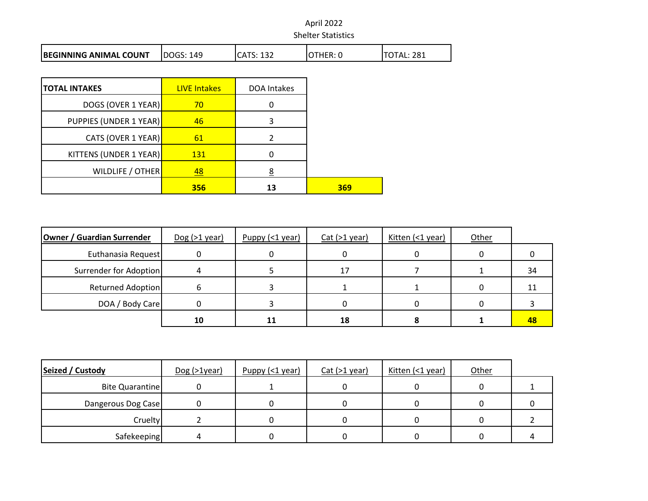| <b>BEGINNING ANIMAL COUNT</b> | ldogs:<br>149 | 132<br>ICATS. | ີ <sup>→</sup> THER: ບ | 281<br>ገTAL. |
|-------------------------------|---------------|---------------|------------------------|--------------|

| <b>TOTAL INTAKES</b>   | <b>LIVE Intakes</b> | DOA Intakes |     |
|------------------------|---------------------|-------------|-----|
| DOGS (OVER 1 YEAR)     | 70                  |             |     |
| PUPPIES (UNDER 1 YEAR) | 46                  | 3           |     |
| CATS (OVER 1 YEAR)     | 61                  |             |     |
| KITTENS (UNDER 1 YEAR) | <b>131</b>          |             |     |
| WILDLIFE / OTHER       | 48                  | 8           |     |
|                        | 356                 | 13          | 369 |

| Owner / Guardian Surrender | $Dog (>1$ year) | Puppy $($ 1 year) | $Cat$ (>1 year) | Kitten (<1 year) | Other |    |
|----------------------------|-----------------|-------------------|-----------------|------------------|-------|----|
| Euthanasia Request         |                 |                   |                 |                  |       |    |
| Surrender for Adoption     |                 |                   | 17              |                  |       | 34 |
| Returned Adoption          |                 |                   |                 |                  |       |    |
| DOA / Body Care            |                 |                   |                 |                  |       |    |
|                            | 10              |                   | 18              |                  |       | 48 |

| Seized / Custody       | $Dog (>1$ year) | $P$ uppy (<1 year) | $Cat$ (>1 year) | Kitten (<1 year) | Other |  |
|------------------------|-----------------|--------------------|-----------------|------------------|-------|--|
| <b>Bite Quarantine</b> |                 |                    |                 |                  |       |  |
| Dangerous Dog Case     |                 |                    |                 |                  |       |  |
| Cruelty                |                 |                    |                 |                  |       |  |
| Safekeeping            | Δ               |                    |                 |                  |       |  |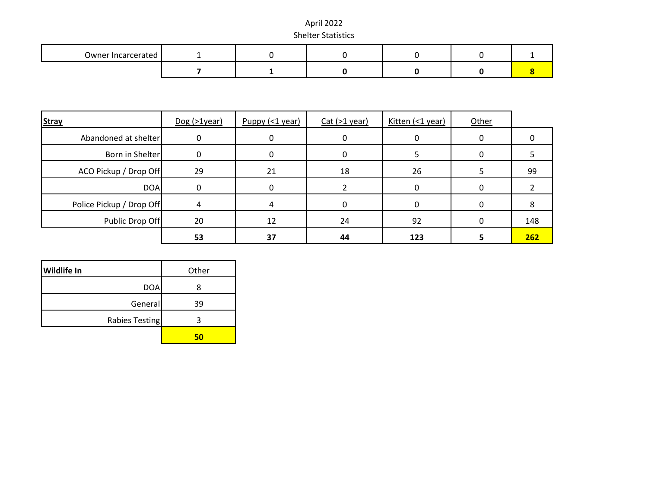| Owner Incarcerated |  |  |  |
|--------------------|--|--|--|
|                    |  |  |  |

| <b>Stray</b>             | $Dog (>1$ year) | Puppy $($ 1 year) | $Cat$ ( $>1$ year) | Kitten (<1 year) | Other |     |
|--------------------------|-----------------|-------------------|--------------------|------------------|-------|-----|
| Abandoned at shelter     |                 |                   |                    |                  |       |     |
| Born in Shelter          |                 |                   |                    |                  | O     |     |
| ACO Pickup / Drop Off    | 29              | 21                | 18                 | 26               |       | 99  |
| <b>DOA</b>               |                 |                   |                    |                  |       |     |
| Police Pickup / Drop Off |                 |                   |                    |                  | 0     |     |
| Public Drop Off          | 20              | 12                | 24                 | 92               |       | 148 |
|                          | 53              | 37                | 44                 | 123              |       | 262 |

| <b>Wildlife In</b> | Other |
|--------------------|-------|
| DOA                |       |
| General            | 39    |
| Rabies Testing     | ว     |
|                    | 50    |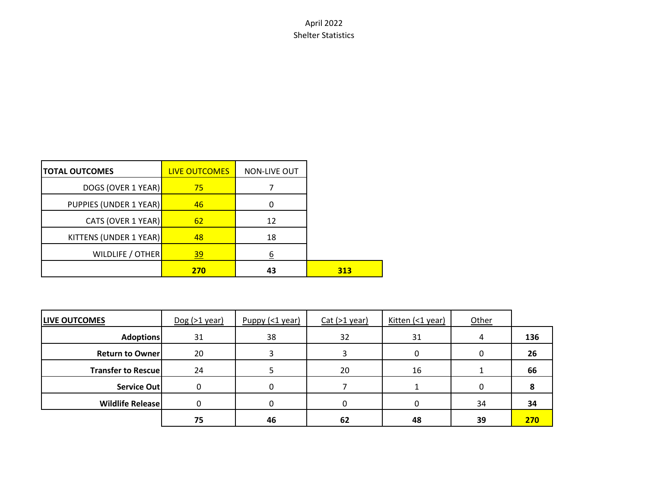| <b>TOTAL OUTCOMES</b>  | <b>LIVE OUTCOMES</b> | <b>NON-LIVE OUT</b> |     |
|------------------------|----------------------|---------------------|-----|
| DOGS (OVER 1 YEAR)     | 75                   |                     |     |
| PUPPIES (UNDER 1 YEAR) | 46                   |                     |     |
| CATS (OVER 1 YEAR)     | 62                   | 12                  |     |
| KITTENS (UNDER 1 YEAR) | 48                   | 18                  |     |
| WILDLIFE / OTHER       | 39                   | <u>6</u>            |     |
|                        | 270                  | 43                  | 313 |

| <b>LIVE OUTCOMES</b>       | $Dog (>1$ year) | $P$ uppy (<1 year) | Cat ( > 1 year) | Kitten (<1 year) | <b>Other</b> |     |
|----------------------------|-----------------|--------------------|-----------------|------------------|--------------|-----|
| <b>Adoptions</b>           | 31              | 38                 | 32              | 31               | 4            | 136 |
| <b>Return to Owner</b>     | 20              |                    |                 |                  | 0            | 26  |
| <b>Transfer to Rescuel</b> | 24              |                    | 20              | 16               |              | 66  |
| Service Out                | 0               |                    |                 |                  |              |     |
| <b>Wildlife Release</b>    |                 |                    |                 |                  | 34           | 34  |
|                            | 75              | 46                 | 62              | 48               | 39           | 270 |